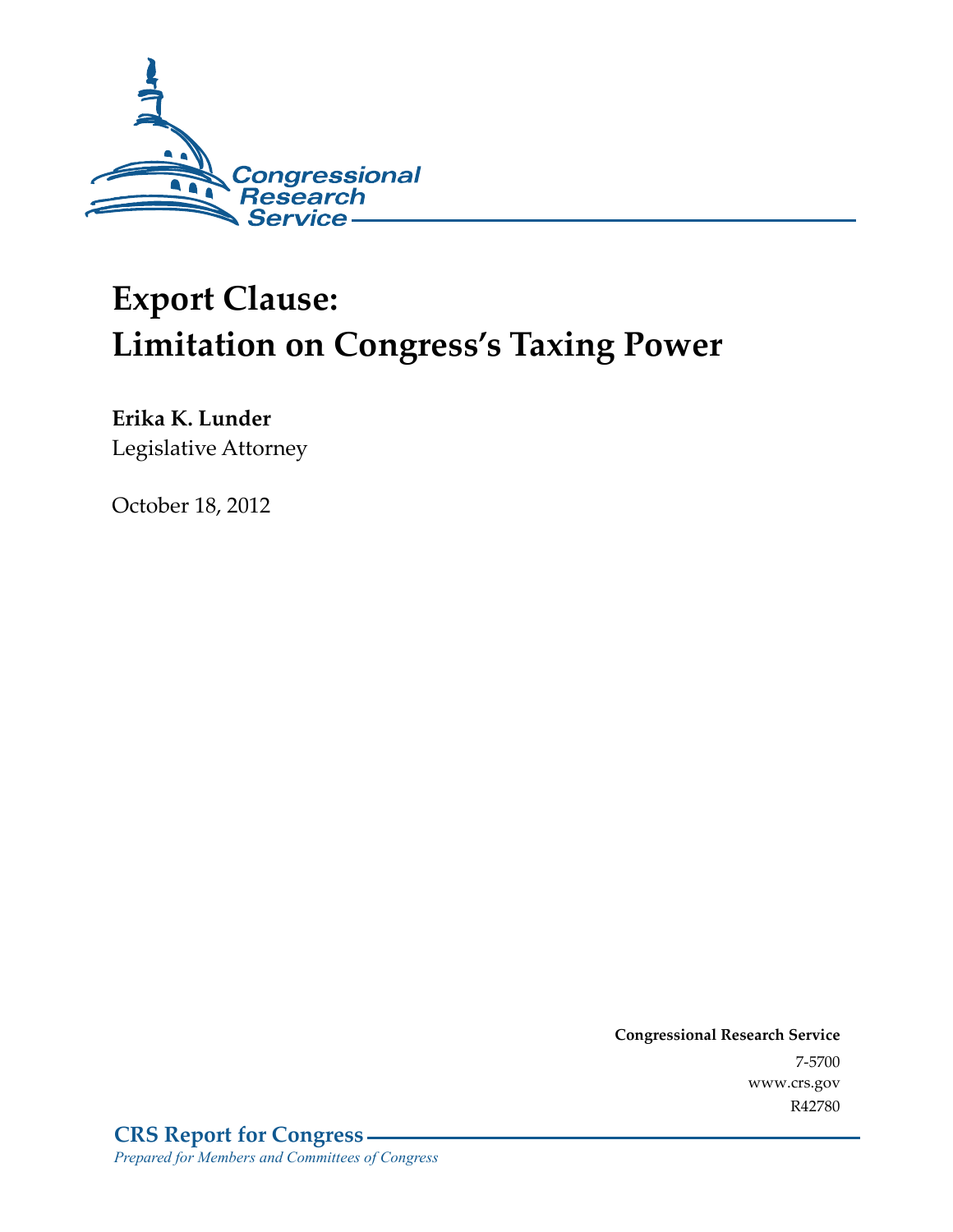

# **Export Clause: Limitation on Congress's Taxing Power**

**Erika K. Lunder**  Legislative Attorney

October 18, 2012

**Congressional Research Service**  7-5700 www.crs.gov R42780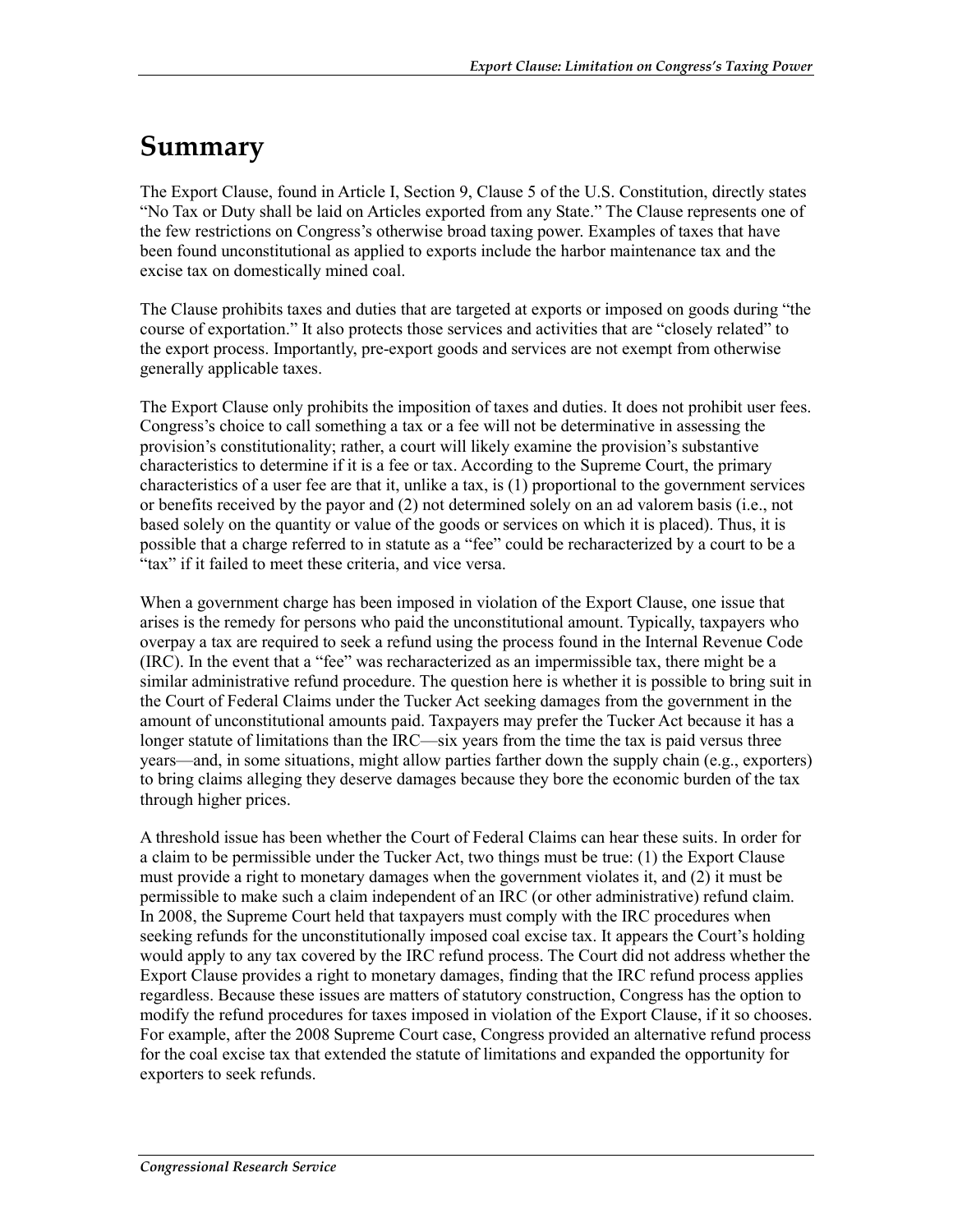# **Summary**

The Export Clause, found in Article I, Section 9, Clause 5 of the U.S. Constitution, directly states "No Tax or Duty shall be laid on Articles exported from any State." The Clause represents one of the few restrictions on Congress's otherwise broad taxing power. Examples of taxes that have been found unconstitutional as applied to exports include the harbor maintenance tax and the excise tax on domestically mined coal.

The Clause prohibits taxes and duties that are targeted at exports or imposed on goods during "the course of exportation." It also protects those services and activities that are "closely related" to the export process. Importantly, pre-export goods and services are not exempt from otherwise generally applicable taxes.

The Export Clause only prohibits the imposition of taxes and duties. It does not prohibit user fees. Congress's choice to call something a tax or a fee will not be determinative in assessing the provision's constitutionality; rather, a court will likely examine the provision's substantive characteristics to determine if it is a fee or tax. According to the Supreme Court, the primary characteristics of a user fee are that it, unlike a tax, is (1) proportional to the government services or benefits received by the payor and (2) not determined solely on an ad valorem basis (i.e., not based solely on the quantity or value of the goods or services on which it is placed). Thus, it is possible that a charge referred to in statute as a "fee" could be recharacterized by a court to be a "tax" if it failed to meet these criteria, and vice versa.

When a government charge has been imposed in violation of the Export Clause, one issue that arises is the remedy for persons who paid the unconstitutional amount. Typically, taxpayers who overpay a tax are required to seek a refund using the process found in the Internal Revenue Code (IRC). In the event that a "fee" was recharacterized as an impermissible tax, there might be a similar administrative refund procedure. The question here is whether it is possible to bring suit in the Court of Federal Claims under the Tucker Act seeking damages from the government in the amount of unconstitutional amounts paid. Taxpayers may prefer the Tucker Act because it has a longer statute of limitations than the IRC—six years from the time the tax is paid versus three years—and, in some situations, might allow parties farther down the supply chain (e.g., exporters) to bring claims alleging they deserve damages because they bore the economic burden of the tax through higher prices.

A threshold issue has been whether the Court of Federal Claims can hear these suits. In order for a claim to be permissible under the Tucker Act, two things must be true: (1) the Export Clause must provide a right to monetary damages when the government violates it, and (2) it must be permissible to make such a claim independent of an IRC (or other administrative) refund claim. In 2008, the Supreme Court held that taxpayers must comply with the IRC procedures when seeking refunds for the unconstitutionally imposed coal excise tax. It appears the Court's holding would apply to any tax covered by the IRC refund process. The Court did not address whether the Export Clause provides a right to monetary damages, finding that the IRC refund process applies regardless. Because these issues are matters of statutory construction, Congress has the option to modify the refund procedures for taxes imposed in violation of the Export Clause, if it so chooses. For example, after the 2008 Supreme Court case, Congress provided an alternative refund process for the coal excise tax that extended the statute of limitations and expanded the opportunity for exporters to seek refunds.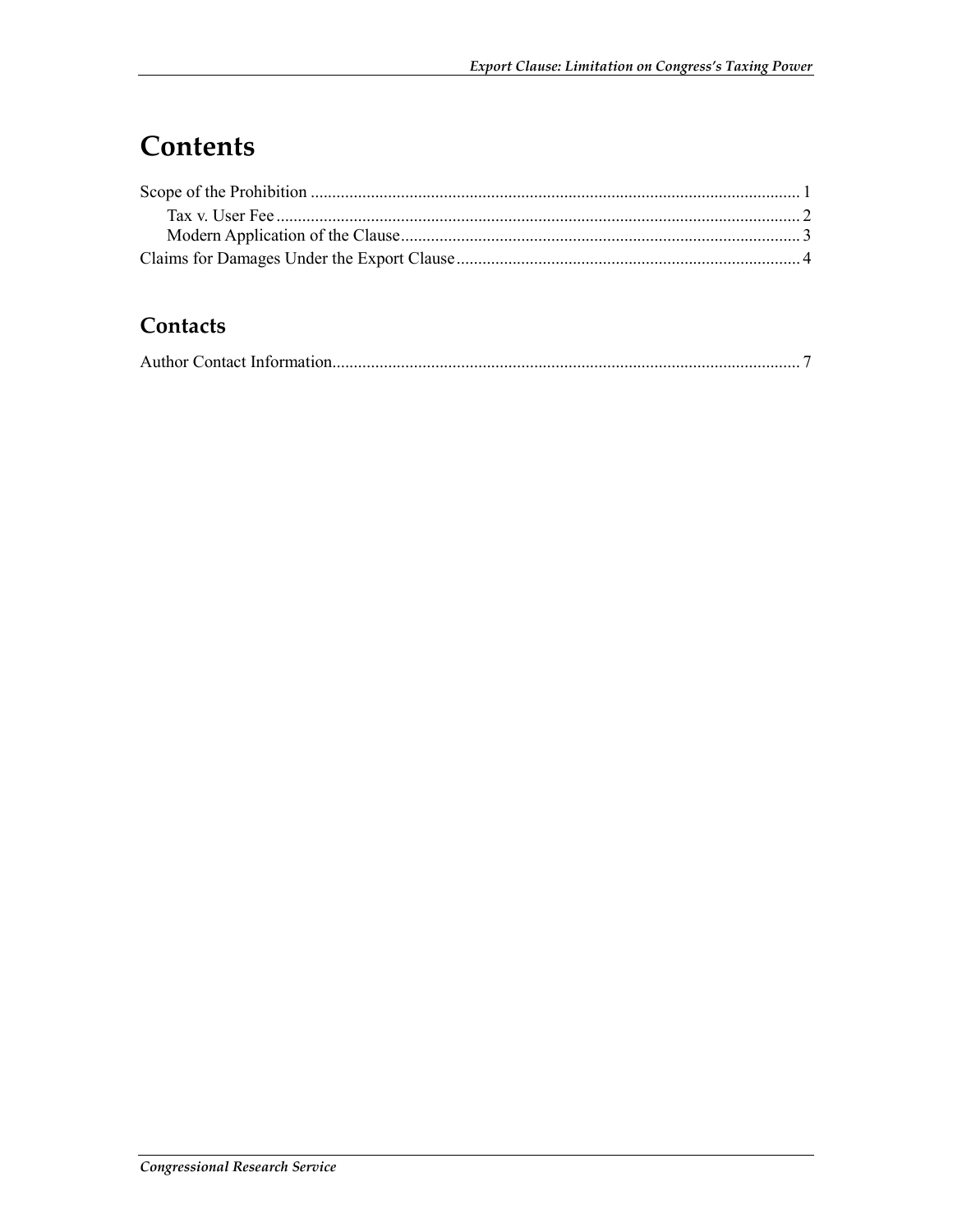## Contents

### Contacts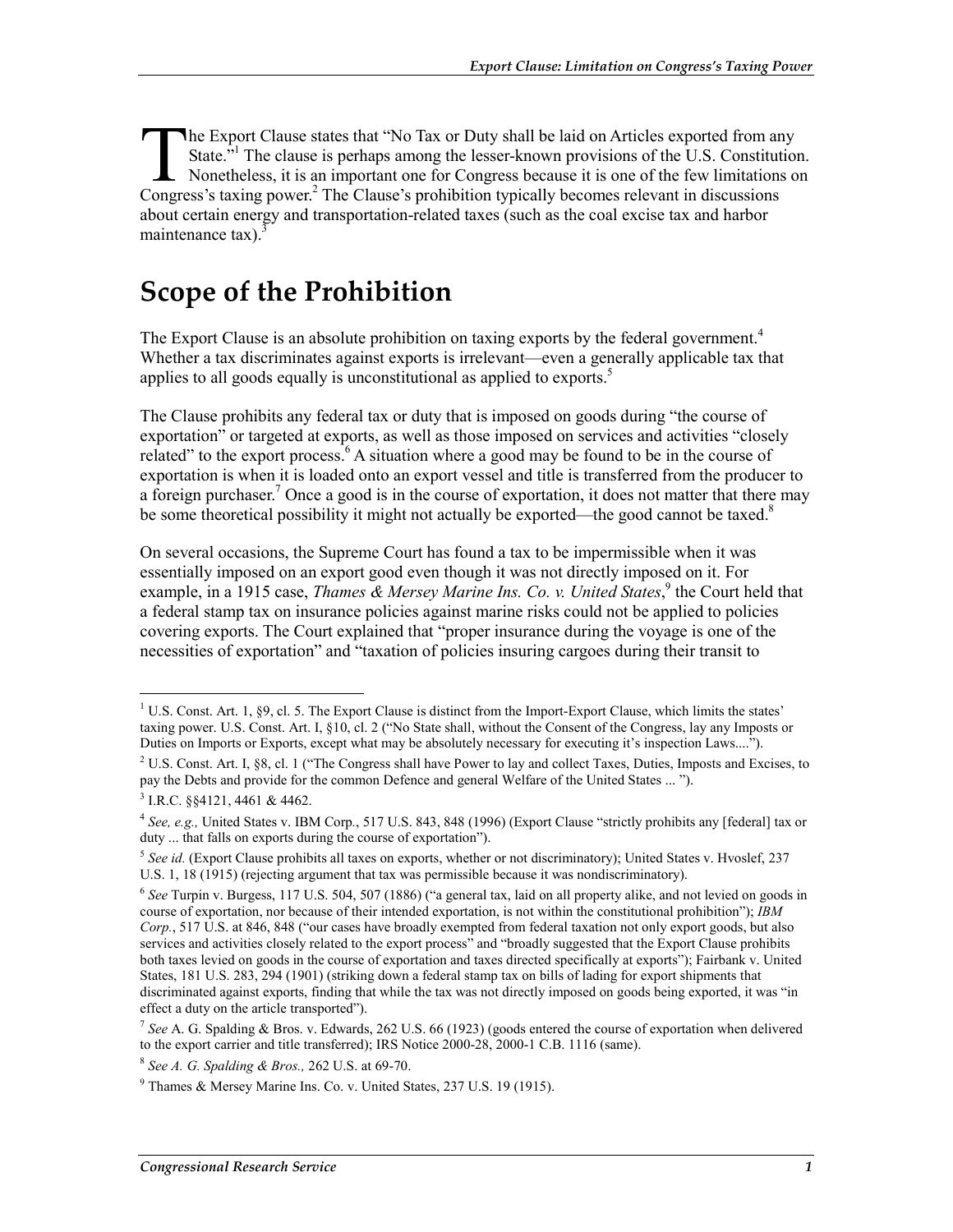he Export Clause states that "No Tax or Duty shall be laid on Articles exported from any State.<sup>51</sup> The clause is perhaps among the lesser-known provisions of the U.S. Constitution. Nonetheless, it is an important one for Congress because it is one of the few limitations on The Export Clause states that "No Tax or Duty shall be laid on Articles exported from an State."<sup>1</sup> The clause is perhaps among the lesser-known provisions of the U.S. Constitute Nonetheless, it is an important one for Con about certain energy and transportation-related taxes (such as the coal excise tax and harbor maintenance  $\text{tax}$ ).<sup>3</sup>

### **Scope of the Prohibition**

The Export Clause is an absolute prohibition on taxing exports by the federal government.<sup>4</sup> Whether a tax discriminates against exports is irrelevant—even a generally applicable tax that applies to all goods equally is unconstitutional as applied to exports.<sup>5</sup>

The Clause prohibits any federal tax or duty that is imposed on goods during "the course of exportation" or targeted at exports, as well as those imposed on services and activities "closely related" to the export process.<sup>6</sup> A situation where a good may be found to be in the course of exportation is when it is loaded onto an export vessel and title is transferred from the producer to a foreign purchaser.<sup>7</sup> Once a good is in the course of exportation, it does not matter that there may be some theoretical possibility it might not actually be exported—the good cannot be taxed.<sup>8</sup>

On several occasions, the Supreme Court has found a tax to be impermissible when it was essentially imposed on an export good even though it was not directly imposed on it. For example, in a 1915 case, *Thames & Mersey Marine Ins. Co. v. United States*,<sup>9</sup> the Court held that a federal stamp tax on insurance policies against marine risks could not be applied to policies covering exports. The Court explained that "proper insurance during the voyage is one of the necessities of exportation" and "taxation of policies insuring cargoes during their transit to

<sup>1&</sup>lt;br><sup>1</sup> U.S. Const. Art. 1, §9, cl. 5. The Export Clause is distinct from the Import-Export Clause, which limits the states' taxing power. U.S. Const. Art. I, §10, cl. 2 ("No State shall, without the Consent of the Congress, lay any Imposts or Duties on Imports or Exports, except what may be absolutely necessary for executing it's inspection Laws....").

<sup>&</sup>lt;sup>2</sup> U.S. Const. Art. I, §8, cl. 1 ("The Congress shall have Power to lay and collect Taxes, Duties, Imposts and Excises, to pay the Debts and provide for the common Defence and general Welfare of the United States ... ").

 $3$  I.R.C. §§4121, 4461 & 4462.

<sup>4</sup> *See, e.g.,* United States v. IBM Corp*.*, 517 U.S. 843, 848 (1996) (Export Clause "strictly prohibits any [federal] tax or duty ... that falls on exports during the course of exportation").

<sup>&</sup>lt;sup>5</sup> See id. (Export Clause prohibits all taxes on exports, whether or not discriminatory); United States v. Hvoslef, 237 U.S. 1, 18 (1915) (rejecting argument that tax was permissible because it was nondiscriminatory).

<sup>6</sup> *See* Turpin v. Burgess, 117 U.S. 504, 507 (1886) ("a general tax, laid on all property alike, and not levied on goods in course of exportation, nor because of their intended exportation, is not within the constitutional prohibition"); *IBM Corp.*, 517 U.S. at 846, 848 ("our cases have broadly exempted from federal taxation not only export goods, but also services and activities closely related to the export process" and "broadly suggested that the Export Clause prohibits both taxes levied on goods in the course of exportation and taxes directed specifically at exports"); Fairbank v. United States, 181 U.S. 283, 294 (1901) (striking down a federal stamp tax on bills of lading for export shipments that discriminated against exports, finding that while the tax was not directly imposed on goods being exported, it was "in effect a duty on the article transported").

<sup>7</sup> *See* A. G. Spalding & Bros. v. Edwards, 262 U.S. 66 (1923) (goods entered the course of exportation when delivered to the export carrier and title transferred); IRS Notice 2000-28, 2000-1 C.B. 1116 (same).

<sup>8</sup> *See A. G. Spalding & Bros.,* 262 U.S. at 69-70.

<sup>9</sup> Thames & Mersey Marine Ins. Co. v. United States, 237 U.S. 19 (1915).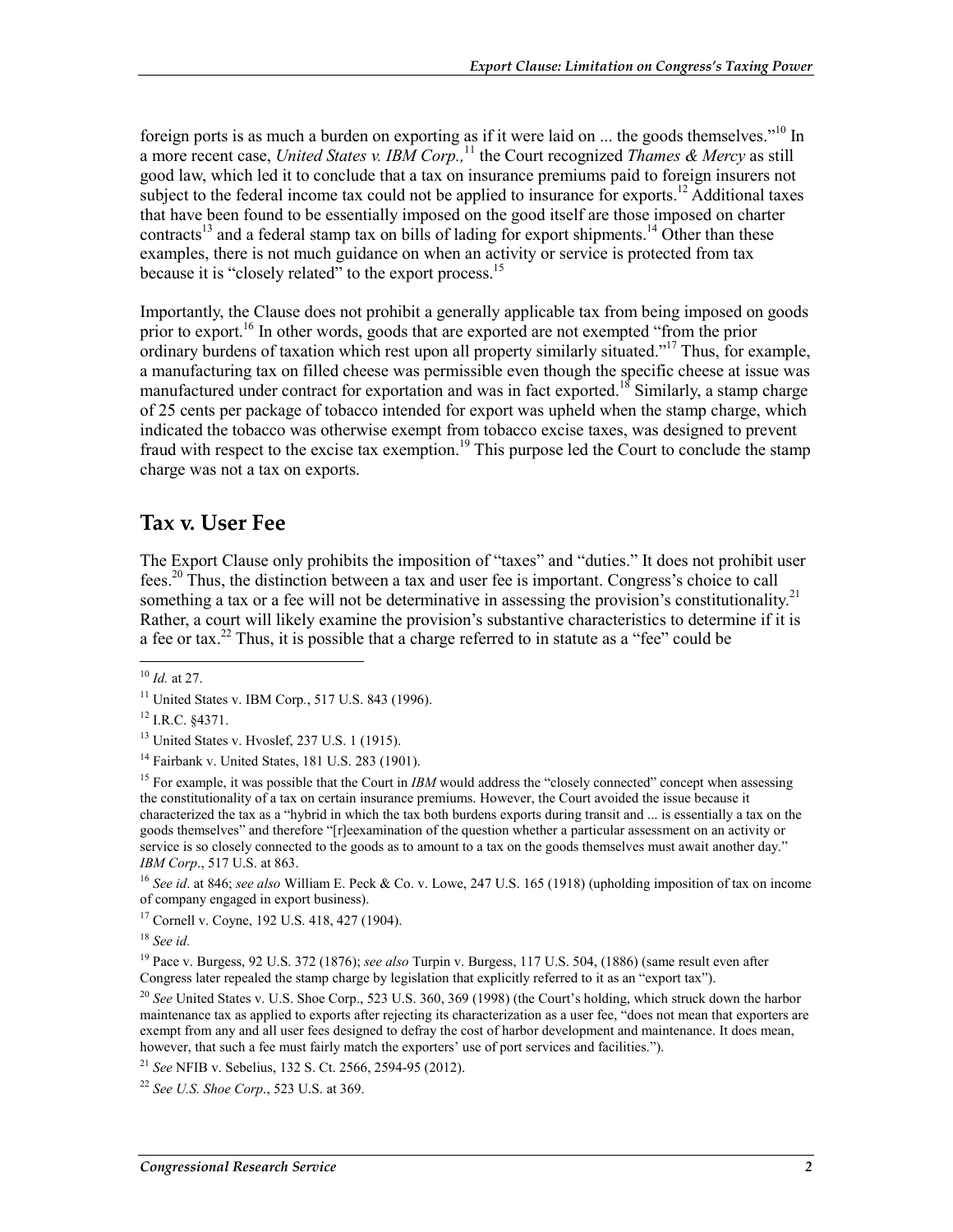foreign ports is as much a burden on exporting as if it were laid on  $\ldots$  the goods themselves."<sup>10</sup> In a more recent case, *United States v. IBM Corp.,*<sup>11</sup> the Court recognized *Thames & Mercy* as still good law, which led it to conclude that a tax on insurance premiums paid to foreign insurers not subject to the federal income tax could not be applied to insurance for exports.<sup>12</sup> Additional taxes that have been found to be essentially imposed on the good itself are those imposed on charter contracts<sup>13</sup> and a federal stamp tax on bills of lading for export shipments.<sup>14</sup> Other than these examples, there is not much guidance on when an activity or service is protected from tax because it is "closely related" to the export process.<sup>15</sup>

Importantly, the Clause does not prohibit a generally applicable tax from being imposed on goods prior to export.<sup>16</sup> In other words, goods that are exported are not exempted "from the prior" ordinary burdens of taxation which rest upon all property similarly situated."17 Thus, for example, a manufacturing tax on filled cheese was permissible even though the specific cheese at issue was manufactured under contract for exportation and was in fact exported.<sup>18</sup> Similarly, a stamp charge of 25 cents per package of tobacco intended for export was upheld when the stamp charge, which indicated the tobacco was otherwise exempt from tobacco excise taxes, was designed to prevent fraud with respect to the excise tax exemption.<sup>19</sup> This purpose led the Court to conclude the stamp charge was not a tax on exports.

#### **Tax v. User Fee**

The Export Clause only prohibits the imposition of "taxes" and "duties." It does not prohibit user fees.20 Thus, the distinction between a tax and user fee is important. Congress's choice to call something a tax or a fee will not be determinative in assessing the provision's constitutionality.<sup>21</sup> Rather, a court will likely examine the provision's substantive characteristics to determine if it is a fee or tax.<sup>22</sup> Thus, it is possible that a charge referred to in statute as a "fee" could be

1

<sup>16</sup> *See id*. at 846; *see also* William E. Peck & Co. v. Lowe, 247 U.S. 165 (1918) (upholding imposition of tax on income of company engaged in export business).

17 Cornell v. Coyne, 192 U.S. 418, 427 (1904).

<sup>18</sup> *See id.*

19 Pace v. Burgess, 92 U.S. 372 (1876); *see also* Turpin v. Burgess, 117 U.S. 504, (1886) (same result even after Congress later repealed the stamp charge by legislation that explicitly referred to it as an "export tax").

<sup>20</sup> *See* United States v. U.S. Shoe Corp., 523 U.S. 360, 369 (1998) (the Court's holding, which struck down the harbor maintenance tax as applied to exports after rejecting its characterization as a user fee, "does not mean that exporters are exempt from any and all user fees designed to defray the cost of harbor development and maintenance. It does mean, however, that such a fee must fairly match the exporters' use of port services and facilities.").

<sup>21</sup> *See* NFIB v. Sebelius, 132 S. Ct. 2566, 2594-95 (2012).

<sup>22</sup> *See U.S. Shoe Corp*., 523 U.S. at 369.

<sup>10</sup> *Id.* at 27.

<sup>11</sup> United States v. IBM Corp*.*, 517 U.S. 843 (1996).

<sup>12</sup> I.R.C. §4371.

<sup>13</sup> United States v. Hvoslef, 237 U.S. 1 (1915).

<sup>14</sup> Fairbank v. United States, 181 U.S. 283 (1901).

<sup>&</sup>lt;sup>15</sup> For example, it was possible that the Court in *IBM* would address the "closely connected" concept when assessing the constitutionality of a tax on certain insurance premiums. However, the Court avoided the issue because it characterized the tax as a "hybrid in which the tax both burdens exports during transit and ... is essentially a tax on the goods themselves" and therefore "[r]eexamination of the question whether a particular assessment on an activity or service is so closely connected to the goods as to amount to a tax on the goods themselves must await another day." *IBM Corp*., 517 U.S. at 863.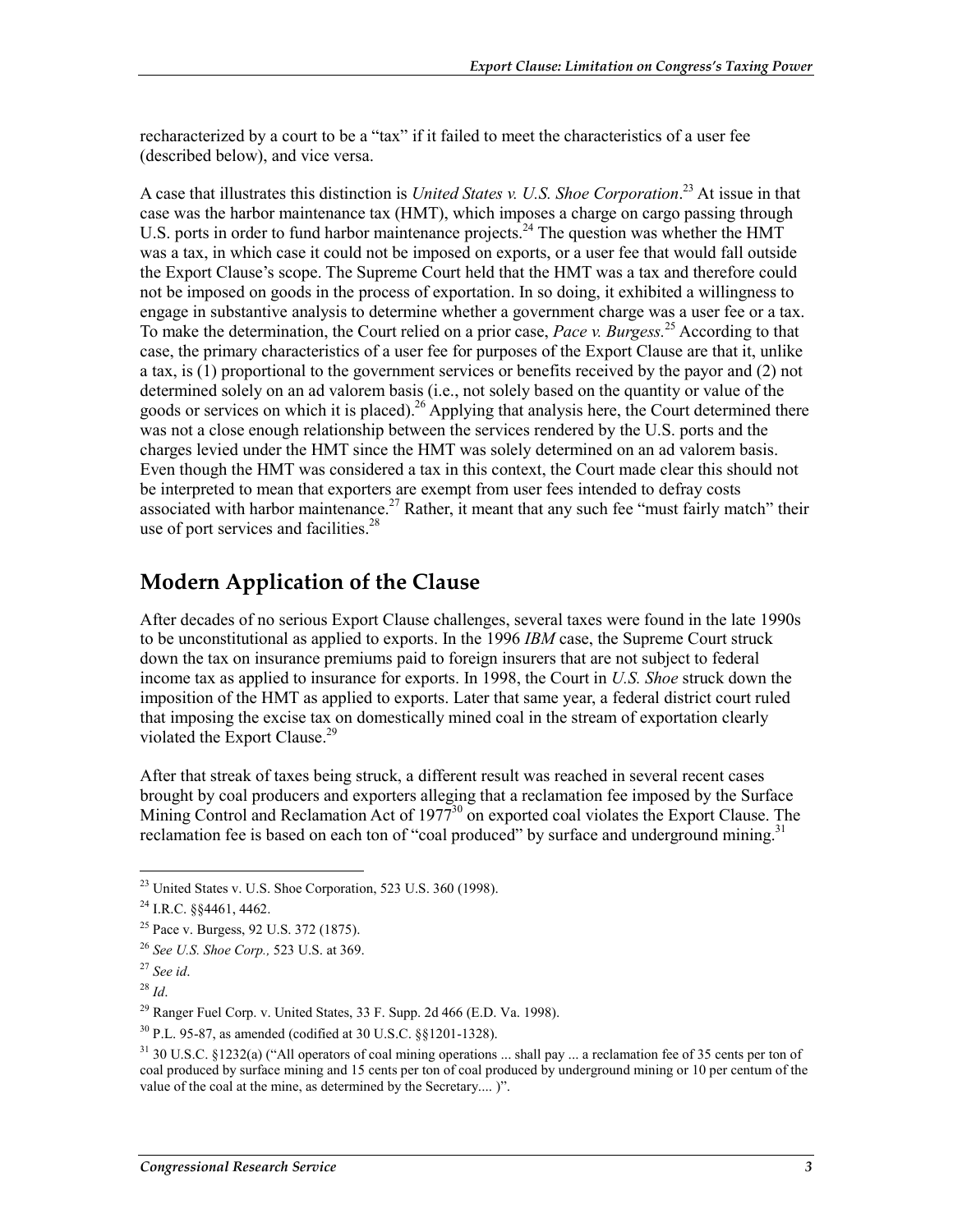recharacterized by a court to be a "tax" if it failed to meet the characteristics of a user fee (described below), and vice versa.

A case that illustrates this distinction is *United States v. U.S. Shoe Corporation*. 23 At issue in that case was the harbor maintenance tax (HMT), which imposes a charge on cargo passing through U.S. ports in order to fund harbor maintenance projects.<sup>24</sup> The question was whether the HMT was a tax, in which case it could not be imposed on exports, or a user fee that would fall outside the Export Clause's scope. The Supreme Court held that the HMT was a tax and therefore could not be imposed on goods in the process of exportation. In so doing, it exhibited a willingness to engage in substantive analysis to determine whether a government charge was a user fee or a tax. To make the determination, the Court relied on a prior case, *Pace v. Burgess.*25 According to that case, the primary characteristics of a user fee for purposes of the Export Clause are that it, unlike a tax, is (1) proportional to the government services or benefits received by the payor and (2) not determined solely on an ad valorem basis (i.e., not solely based on the quantity or value of the goods or services on which it is placed).<sup>26</sup> Applying that analysis here, the Court determined there was not a close enough relationship between the services rendered by the U.S. ports and the charges levied under the HMT since the HMT was solely determined on an ad valorem basis. Even though the HMT was considered a tax in this context, the Court made clear this should not be interpreted to mean that exporters are exempt from user fees intended to defray costs associated with harbor maintenance.<sup>27</sup> Rather, it meant that any such fee "must fairly match" their use of port services and facilities. $28$ 

#### **Modern Application of the Clause**

After decades of no serious Export Clause challenges, several taxes were found in the late 1990s to be unconstitutional as applied to exports. In the 1996 *IBM* case, the Supreme Court struck down the tax on insurance premiums paid to foreign insurers that are not subject to federal income tax as applied to insurance for exports. In 1998, the Court in *U.S. Shoe* struck down the imposition of the HMT as applied to exports. Later that same year, a federal district court ruled that imposing the excise tax on domestically mined coal in the stream of exportation clearly violated the Export Clause.<sup>29</sup>

After that streak of taxes being struck, a different result was reached in several recent cases brought by coal producers and exporters alleging that a reclamation fee imposed by the Surface Mining Control and Reclamation Act of  $1977^{30}$  on exported coal violates the Export Clause. The reclamation fee is based on each ton of "coal produced" by surface and underground mining.<sup>31</sup>

<u>.</u>

 $^{23}$  United States v. U.S. Shoe Corporation, 523 U.S. 360 (1998).

<sup>24</sup> I.R.C. §§4461, 4462.

<sup>&</sup>lt;sup>25</sup> Pace v. Burgess, 92 U.S. 372 (1875).

<sup>26</sup> *See U.S. Shoe Corp.,* 523 U.S. at 369.

<sup>27</sup> *See id*.

<sup>28</sup> *Id*.

 $^{29}$  Ranger Fuel Corp. v. United States, 33 F. Supp. 2d 466 (E.D. Va. 1998).

<sup>30</sup> P.L. 95-87, as amended (codified at 30 U.S.C. §§1201-1328).

 $31$  30 U.S.C. §1232(a) ("All operators of coal mining operations ... shall pay ... a reclamation fee of 35 cents per ton of coal produced by surface mining and 15 cents per ton of coal produced by underground mining or 10 per centum of the value of the coal at the mine, as determined by the Secretary.... )".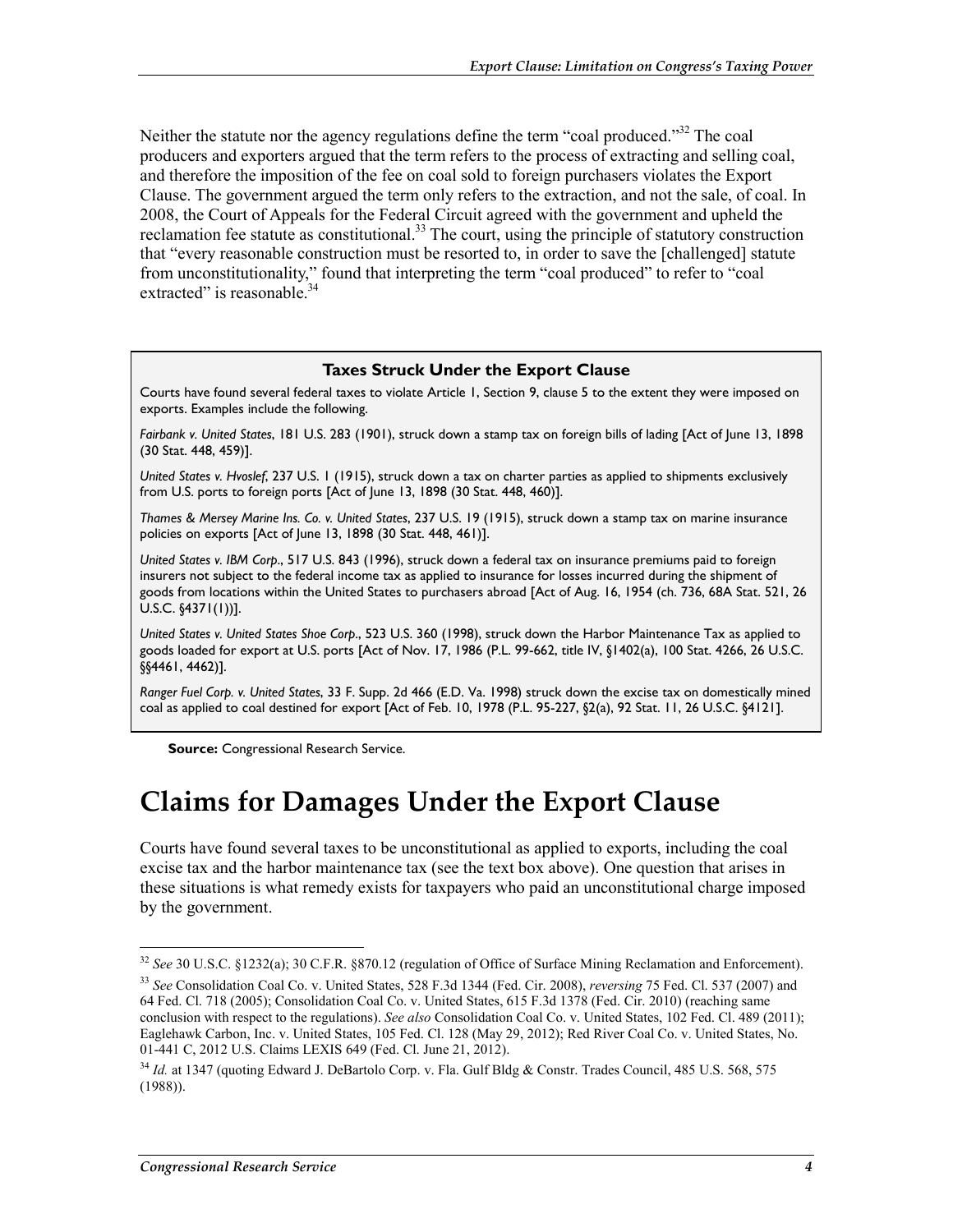Neither the statute nor the agency regulations define the term "coal produced."<sup>32</sup> The coal producers and exporters argued that the term refers to the process of extracting and selling coal, and therefore the imposition of the fee on coal sold to foreign purchasers violates the Export Clause. The government argued the term only refers to the extraction, and not the sale, of coal. In 2008, the Court of Appeals for the Federal Circuit agreed with the government and upheld the reclamation fee statute as constitutional.<sup>33</sup> The court, using the principle of statutory construction that "every reasonable construction must be resorted to, in order to save the [challenged] statute from unconstitutionality," found that interpreting the term "coal produced" to refer to "coal extracted" is reasonable.

#### **Taxes Struck Under the Export Clause**

Courts have found several federal taxes to violate Article 1, Section 9, clause 5 to the extent they were imposed on exports. Examples include the following.

*Fairbank v. United States*, 181 U.S. 283 (1901), struck down a stamp tax on foreign bills of lading [Act of June 13, 1898 (30 Stat. 448, 459)].

*United States v. Hvoslef*, 237 U.S. 1 (1915), struck down a tax on charter parties as applied to shipments exclusively from U.S. ports to foreign ports [Act of June 13, 1898 (30 Stat. 448, 460)].

*Thames & Mersey Marine Ins. Co. v. United States*, 237 U.S. 19 (1915), struck down a stamp tax on marine insurance policies on exports [Act of June 13, 1898 (30 Stat. 448, 461)].

*United States v. IBM Corp*., 517 U.S. 843 (1996), struck down a federal tax on insurance premiums paid to foreign insurers not subject to the federal income tax as applied to insurance for losses incurred during the shipment of goods from locations within the United States to purchasers abroad [Act of Aug. 16, 1954 (ch. 736, 68A Stat. 521, 26 U.S.C. §4371(1))].

*United States v. United States Shoe Corp*., 523 U.S. 360 (1998), struck down the Harbor Maintenance Tax as applied to goods loaded for export at U.S. ports [Act of Nov. 17, 1986 (P.L. 99-662, title IV, §1402(a), 100 Stat. 4266, 26 U.S.C. §§4461, 4462)].

*Ranger Fuel Corp. v. United States*, 33 F. Supp. 2d 466 (E.D. Va. 1998) struck down the excise tax on domestically mined coal as applied to coal destined for export [Act of Feb. 10, 1978 (P.L. 95-227, §2(a), 92 Stat. 11, 26 U.S.C. §4121].

**Source:** Congressional Research Service.

### **Claims for Damages Under the Export Clause**

Courts have found several taxes to be unconstitutional as applied to exports, including the coal excise tax and the harbor maintenance tax (see the text box above). One question that arises in these situations is what remedy exists for taxpayers who paid an unconstitutional charge imposed by the government.

1

<sup>32</sup> *See* 30 U.S.C. §1232(a); 30 C.F.R. §870.12 (regulation of Office of Surface Mining Reclamation and Enforcement).

<sup>33</sup> *See* Consolidation Coal Co. v. United States, 528 F.3d 1344 (Fed. Cir. 2008), *reversing* 75 Fed. Cl. 537 (2007) and 64 Fed. Cl. 718 (2005); Consolidation Coal Co. v. United States, 615 F.3d 1378 (Fed. Cir. 2010) (reaching same conclusion with respect to the regulations). *See also* Consolidation Coal Co. v. United States, 102 Fed. Cl. 489 (2011); Eaglehawk Carbon, Inc. v. United States, 105 Fed. Cl. 128 (May 29, 2012); Red River Coal Co. v. United States, No. 01-441 C, 2012 U.S. Claims LEXIS 649 (Fed. Cl. June 21, 2012).

<sup>34</sup> *Id.* at 1347 (quoting Edward J. DeBartolo Corp. v. Fla. Gulf Bldg & Constr. Trades Council, 485 U.S. 568, 575 (1988)).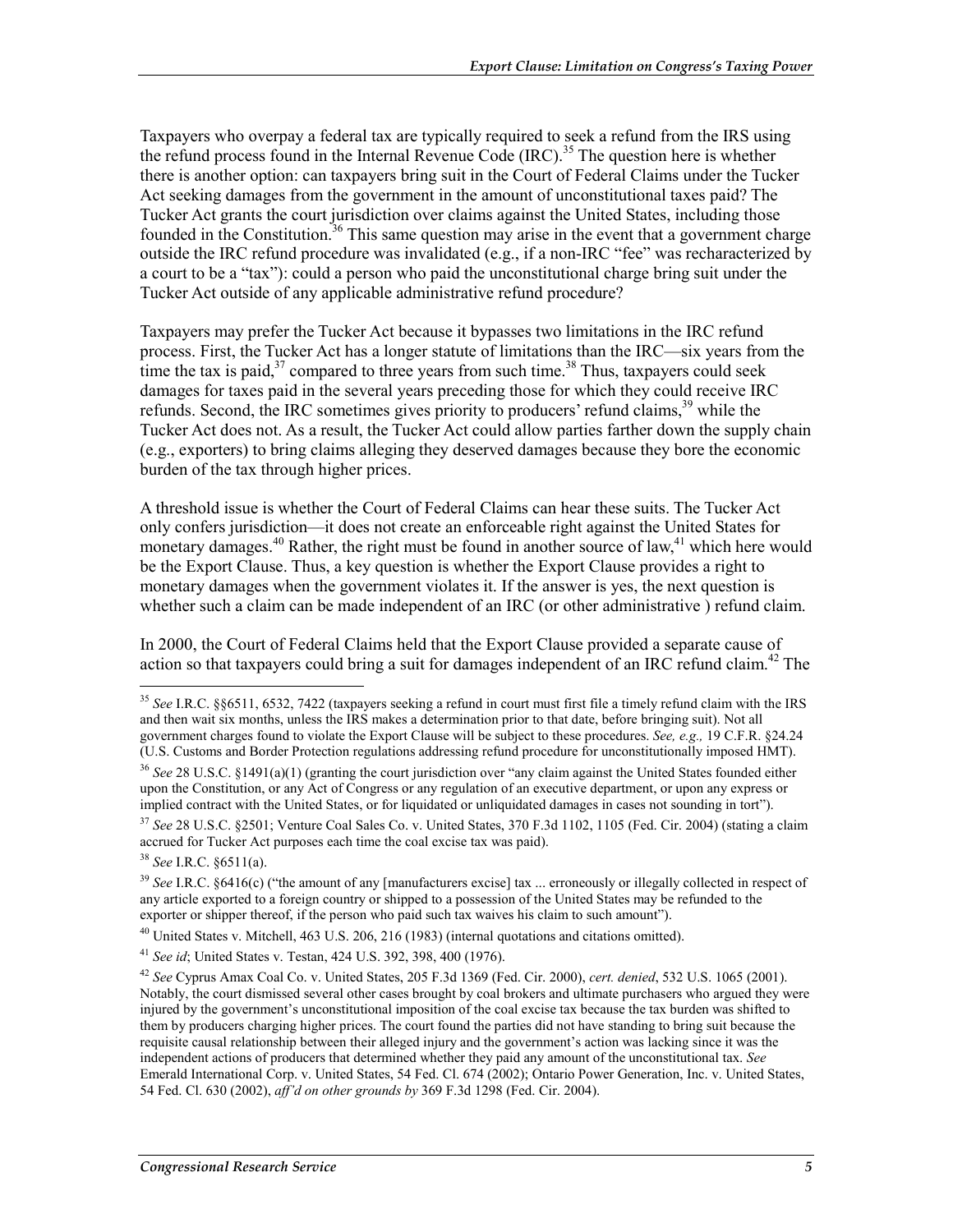Taxpayers who overpay a federal tax are typically required to seek a refund from the IRS using the refund process found in the Internal Revenue Code  $(IRC)$ <sup>35</sup>. The question here is whether there is another option: can taxpayers bring suit in the Court of Federal Claims under the Tucker Act seeking damages from the government in the amount of unconstitutional taxes paid? The Tucker Act grants the court jurisdiction over claims against the United States, including those founded in the Constitution.<sup>36</sup> This same question may arise in the event that a government charge outside the IRC refund procedure was invalidated (e.g., if a non-IRC "fee" was recharacterized by a court to be a "tax"): could a person who paid the unconstitutional charge bring suit under the Tucker Act outside of any applicable administrative refund procedure?

Taxpayers may prefer the Tucker Act because it bypasses two limitations in the IRC refund process. First, the Tucker Act has a longer statute of limitations than the IRC—six years from the time the tax is paid, $37$  compared to three years from such time.<sup>38</sup> Thus, taxpayers could seek damages for taxes paid in the several years preceding those for which they could receive IRC refunds. Second, the IRC sometimes gives priority to producers' refund claims,<sup>39</sup> while the Tucker Act does not. As a result, the Tucker Act could allow parties farther down the supply chain (e.g., exporters) to bring claims alleging they deserved damages because they bore the economic burden of the tax through higher prices.

A threshold issue is whether the Court of Federal Claims can hear these suits. The Tucker Act only confers jurisdiction—it does not create an enforceable right against the United States for monetary damages.<sup>40</sup> Rather, the right must be found in another source of law,<sup>41</sup> which here would be the Export Clause. Thus, a key question is whether the Export Clause provides a right to monetary damages when the government violates it. If the answer is yes, the next question is whether such a claim can be made independent of an IRC (or other administrative) refund claim.

In 2000, the Court of Federal Claims held that the Export Clause provided a separate cause of action so that taxpayers could bring a suit for damages independent of an IRC refund claim.<sup>42</sup> The

<sup>38</sup> *See* I.R.C. §6511(a).

<u>.</u>

<sup>40</sup> United States v. Mitchell, 463 U.S. 206, 216 (1983) (internal quotations and citations omitted).

<sup>41</sup> *See id*; United States v. Testan, 424 U.S. 392, 398, 400 (1976).

<sup>35</sup> *See* I.R.C. §§6511, 6532, 7422 (taxpayers seeking a refund in court must first file a timely refund claim with the IRS and then wait six months, unless the IRS makes a determination prior to that date, before bringing suit). Not all government charges found to violate the Export Clause will be subject to these procedures. *See, e.g.,* 19 C.F.R. §24.24 (U.S. Customs and Border Protection regulations addressing refund procedure for unconstitutionally imposed HMT).

<sup>36</sup> *See* 28 U.S.C. §1491(a)(1) (granting the court jurisdiction over "any claim against the United States founded either upon the Constitution, or any Act of Congress or any regulation of an executive department, or upon any express or implied contract with the United States, or for liquidated or unliquidated damages in cases not sounding in tort").

<sup>37</sup> *See* 28 U.S.C. §2501; Venture Coal Sales Co. v. United States, 370 F.3d 1102, 1105 (Fed. Cir. 2004) (stating a claim accrued for Tucker Act purposes each time the coal excise tax was paid).

<sup>&</sup>lt;sup>39</sup> See I.R.C. §6416(c) ("the amount of any [manufacturers excise] tax ... erroneously or illegally collected in respect of any article exported to a foreign country or shipped to a possession of the United States may be refunded to the exporter or shipper thereof, if the person who paid such tax waives his claim to such amount").

<sup>42</sup> *See* Cyprus Amax Coal Co. v. United States, 205 F.3d 1369 (Fed. Cir. 2000), *cert. denied*, 532 U.S. 1065 (2001). Notably, the court dismissed several other cases brought by coal brokers and ultimate purchasers who argued they were injured by the government's unconstitutional imposition of the coal excise tax because the tax burden was shifted to them by producers charging higher prices. The court found the parties did not have standing to bring suit because the requisite causal relationship between their alleged injury and the government's action was lacking since it was the independent actions of producers that determined whether they paid any amount of the unconstitutional tax. *See*  Emerald International Corp. v. United States, 54 Fed. Cl. 674 (2002); Ontario Power Generation, Inc. v. United States, 54 Fed. Cl. 630 (2002), *aff'd on other grounds by* 369 F.3d 1298 (Fed. Cir. 2004).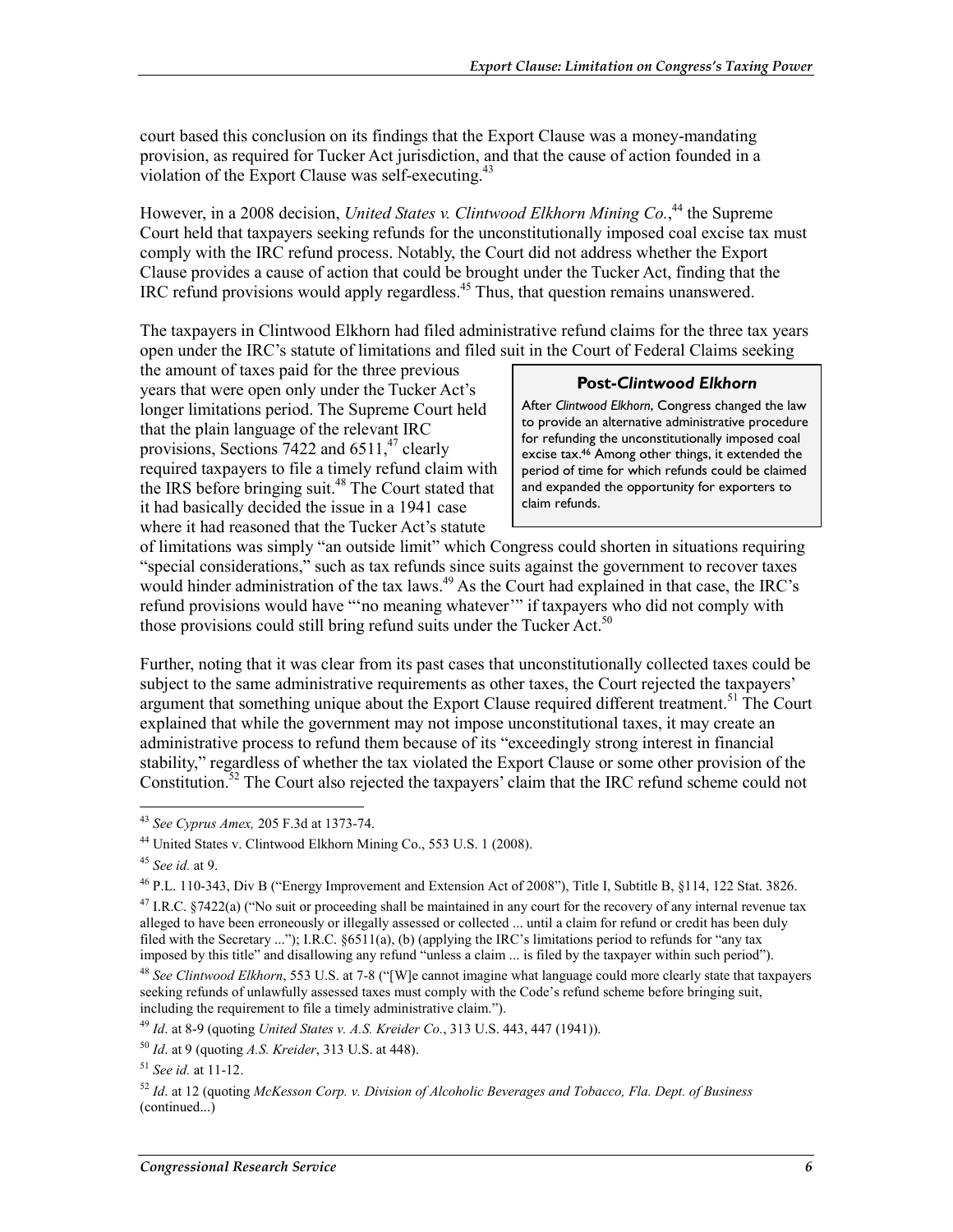court based this conclusion on its findings that the Export Clause was a money-mandating provision, as required for Tucker Act jurisdiction, and that the cause of action founded in a violation of the Export Clause was self-executing. $43$ 

However, in a 2008 decision, *United States v. Clintwood Elkhorn Mining Co.*<sup>44</sup> the Supreme Court held that taxpayers seeking refunds for the unconstitutionally imposed coal excise tax must comply with the IRC refund process. Notably, the Court did not address whether the Export Clause provides a cause of action that could be brought under the Tucker Act, finding that the IRC refund provisions would apply regardless.<sup>45</sup> Thus, that question remains unanswered.

The taxpayers in Clintwood Elkhorn had filed administrative refund claims for the three tax years open under the IRC's statute of limitations and filed suit in the Court of Federal Claims seeking

the amount of taxes paid for the three previous years that were open only under the Tucker Act's longer limitations period. The Supreme Court held that the plain language of the relevant IRC provisions, Sections  $7422$  and  $6511<sup>47</sup>$  clearly required taxpayers to file a timely refund claim with the IRS before bringing suit.<sup>48</sup> The Court stated that it had basically decided the issue in a 1941 case where it had reasoned that the Tucker Act's statute

#### **Post-***Clintwood Elkhorn*

After *Clintwood Elkhorn*, Congress changed the law to provide an alternative administrative procedure for refunding the unconstitutionally imposed coal excise tax.<sup>46</sup> Among other things, it extended the period of time for which refunds could be claimed and expanded the opportunity for exporters to claim refunds.

of limitations was simply "an outside limit" which Congress could shorten in situations requiring "special considerations," such as tax refunds since suits against the government to recover taxes would hinder administration of the tax laws.<sup>49</sup> As the Court had explained in that case, the IRC's refund provisions would have "'no meaning whatever'" if taxpayers who did not comply with those provisions could still bring refund suits under the Tucker Act.<sup>50</sup>

Further, noting that it was clear from its past cases that unconstitutionally collected taxes could be subject to the same administrative requirements as other taxes, the Court rejected the taxpayers' argument that something unique about the Export Clause required different treatment.<sup>51</sup> The Court explained that while the government may not impose unconstitutional taxes, it may create an administrative process to refund them because of its "exceedingly strong interest in financial stability," regardless of whether the tax violated the Export Clause or some other provision of the Constitution.52 The Court also rejected the taxpayers' claim that the IRC refund scheme could not

<sup>1</sup> <sup>43</sup> *See Cyprus Amex,* 205 F.3d at 1373-74.

<sup>44</sup> United States v. Clintwood Elkhorn Mining Co., 553 U.S. 1 (2008).

<sup>45</sup> *See id.* at 9.

<sup>46</sup> P.L. 110-343, Div B ("Energy Improvement and Extension Act of 2008"), Title I, Subtitle B, §114, 122 Stat. 3826.

<sup>&</sup>lt;sup>47</sup> I.R.C. §7422(a) ("No suit or proceeding shall be maintained in any court for the recovery of any internal revenue tax alleged to have been erroneously or illegally assessed or collected ... until a claim for refund or credit has been duly filed with the Secretary ..."); I.R.C. §6511(a), (b) (applying the IRC's limitations period to refunds for "any tax imposed by this title" and disallowing any refund "unless a claim ... is filed by the taxpayer within such period").

<sup>48</sup> *See Clintwood Elkhorn*, 553 U.S. at 7-8 ("[W]e cannot imagine what language could more clearly state that taxpayers seeking refunds of unlawfully assessed taxes must comply with the Code's refund scheme before bringing suit, including the requirement to file a timely administrative claim.").

<sup>49</sup> *Id*. at 8-9 (quoting *United States v. A.S. Kreider Co.*, 313 U.S. 443, 447 (1941)).

<sup>50</sup> *Id*. at 9 (quoting *A.S. Kreider*, 313 U.S. at 448).

<sup>51</sup> *See id.* at 11-12.

<sup>52</sup> *Id*. at 12 (quoting *McKesson Corp. v. Division of Alcoholic Beverages and Tobacco, Fla. Dept. of Business*  (continued...)